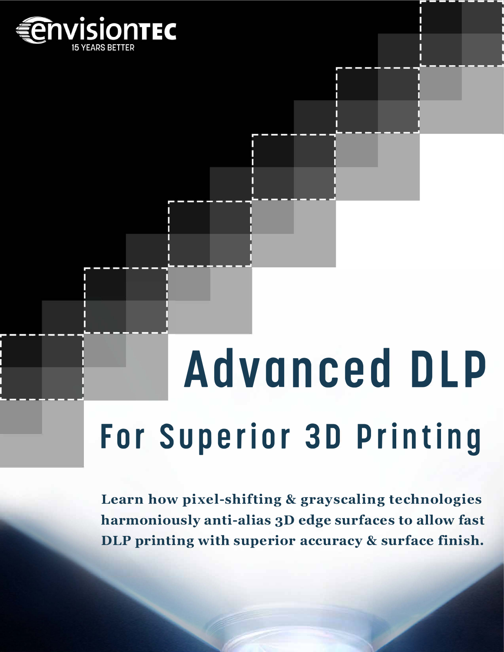

# **Advanced DLP For Superior 3D Printing**

**Learn how pixel-shifting & grayscaling technologies harmoniously anti-alias 3D edge surfaces to allow fast DLP printing with superior accuracy & surface finish.**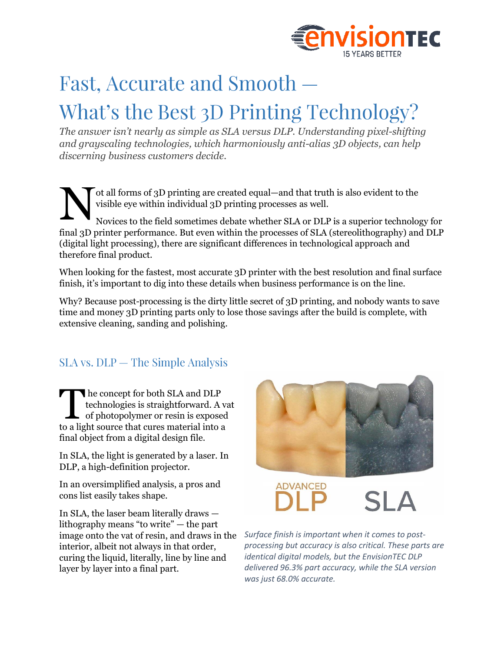

# Fast, Accurate and Smooth -

# What's the Best 3D Printing Technology?

*The answer isn't nearly as simple as SLA versus DLP. Understanding pixel-shifting and grayscaling technologies, which harmoniously anti-alias 3D objects, can help discerning business customers decide.*

ot all forms of 3D printing are created equal—and that truth is also evident to the visible eye within individual 3D printing processes as well. Novices to the field sometimes debate whether SLA or DLP is a superior technology for final 3D printer performance. But even within the processes of SLA (stereolithography) and DLP (digital light processing), there are significant differences in technological approach and therefore final product. N

When looking for the fastest, most accurate 3D printer with the best resolution and final surface finish, it's important to dig into these details when business performance is on the line.

Why? Because post-processing is the dirty little secret of 3D printing, and nobody wants to save time and money 3D printing parts only to lose those savings after the build is complete, with extensive cleaning, sanding and polishing.

## $SLA$  vs.  $DLP$  – The Simple Analysis

he concept for both SLA and DLP technologies is straightforward. A vat of photopolymer or resin is exposed The concept for both SLA and DLP<br>technologies is straightforward. A v.<br>of photopolymer or resin is exposed<br>to a light source that cures material into a final object from a digital design file.

In SLA, the light is generated by a laser. In DLP, a high-definition projector.

In an oversimplified analysis, a pros and cons list easily takes shape.

In SLA, the laser beam literally draws lithography means "to write" — the part image onto the vat of resin, and draws in the interior, albeit not always in that order, curing the liquid, literally, line by line and layer by layer into a final part.



**ADVANCED** 

*Surface finish is important when it comes to postprocessing but accuracy is also critical. These parts are identical digital models, but the EnvisionTEC DLP delivered 96.3% part accuracy, while the SLA version was just 68.0% accurate.*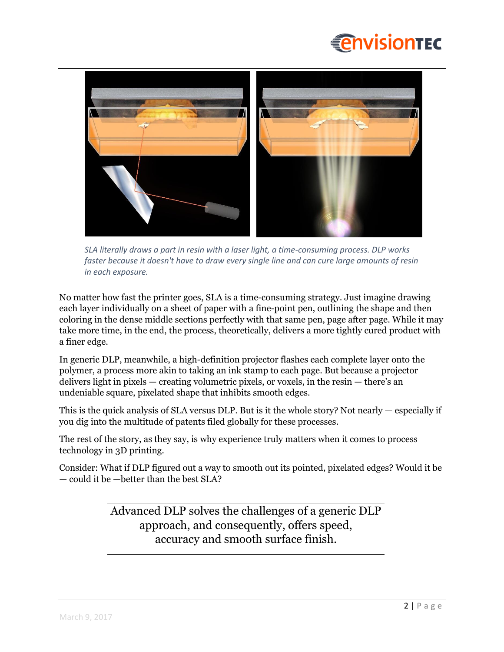



*SLA literally draws a part in resin with a laser light, a time-consuming process. DLP works faster because it doesn't have to draw every single line and can cure large amounts of resin in each exposure.*

No matter how fast the printer goes, SLA is a time-consuming strategy. Just imagine drawing each layer individually on a sheet of paper with a fine-point pen, outlining the shape and then coloring in the dense middle sections perfectly with that same pen, page after page. While it may take more time, in the end, the process, theoretically, delivers a more tightly cured product with a finer edge.

In generic DLP, meanwhile, a high-definition projector flashes each complete layer onto the polymer, a process more akin to taking an ink stamp to each page. But because a projector delivers light in pixels — creating volumetric pixels, or voxels, in the resin — there's an undeniable square, pixelated shape that inhibits smooth edges.

This is the quick analysis of SLA versus DLP. But is it the whole story? Not nearly — especially if you dig into the multitude of patents filed globally for these processes.

The rest of the story, as they say, is why experience truly matters when it comes to process technology in 3D printing.

Consider: What if DLP figured out a way to smooth out its pointed, pixelated edges? Would it be — could it be —better than the best SLA?

> Advanced DLP solves the challenges of a generic DLP approach, and consequently, offers speed, accuracy and smooth surface finish.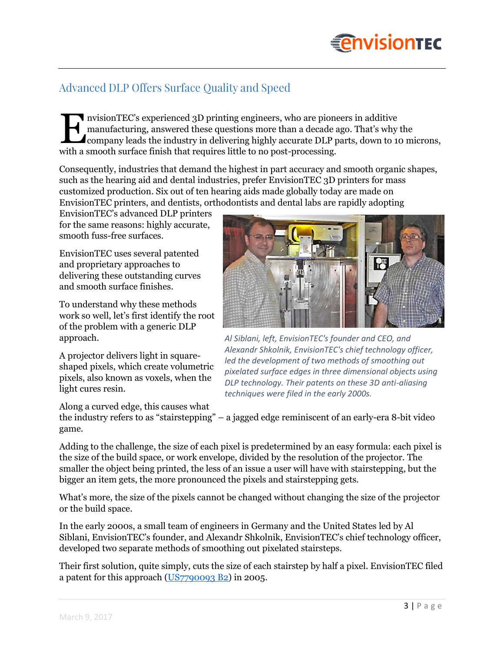# **EnvisionTEC**

## **Advanced DLP Offers Surface Quality and Speed**

nvisionTEC's experienced 3D printing engineers, who are pioneers in additive manufacturing, answered these questions more than a decade ago. That's why the I nvisionTEC's experienced 3D printing engineers, who are pioneers in additive<br>manufacturing, answered these questions more than a decade ago. That's why the<br>company leads the industry in delivering highly accurate DLP par with a smooth surface finish that requires little to no post-processing.

Consequently, industries that demand the highest in part accuracy and smooth organic shapes, such as the hearing aid and dental industries, prefer EnvisionTEC 3D printers for mass customized production. Six out of ten hearing aids made globally today are made on EnvisionTEC printers, and dentists, orthodontists and dental labs are rapidly adopting

EnvisionTEC's advanced DLP printers for the same reasons: highly accurate, smooth fuss-free surfaces.

EnvisionTEC uses several patented and proprietary approaches to delivering these outstanding curves and smooth surface finishes.

To understand why these methods work so well, let's first identify the root of the problem with a generic DLP approach.

A projector delivers light in squareshaped pixels, which create volumetric pixels, also known as voxels, when the light cures resin.

Along a curved edge, this causes what



*Al Siblani, left, EnvisionTEC's founder and CEO, and Alexandr Shkolnik, EnvisionTEC's chief technology officer, led the development of two methods of smoothing out pixelated surface edges in three dimensional objects using DLP technology. Their patents on these 3D anti-aliasing techniques were filed in the early 2000s.*

the industry refers to as "stairstepping" – a jagged edge reminiscent of an early-era 8-bit video game.

Adding to the challenge, the size of each pixel is predetermined by an easy formula: each pixel is the size of the build space, or work envelope, divided by the resolution of the projector. The smaller the object being printed, the less of an issue a user will have with stairstepping, but the bigger an item gets, the more pronounced the pixels and stairstepping gets.

What's more, the size of the pixels cannot be changed without changing the size of the projector or the build space.

In the early 2000s, a small team of engineers in Germany and the United States led by Al Siblani, EnvisionTEC's founder, and Alexandr Shkolnik, EnvisionTEC's chief technology officer, developed two separate methods of smoothing out pixelated stairsteps.

Their first solution, quite simply, cuts the size of each stairstep by half a pixel. EnvisionTEC filed a patent for this approach [\(US7790093 B2\)](https://www.google.com/patents/US7790093) in 2005.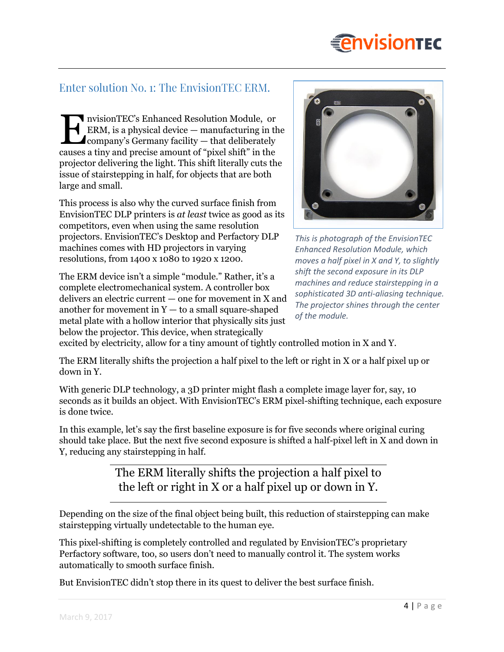

#### Enter solution No. 1: The EnvisionTEC ERM.

nvisionTEC's Enhanced Resolution Module, or ERM, is a physical device — manufacturing in the  $\triangle$ company's Germany facility  $-$  that deliberately I nvisionTEC's Enhanced Resolution Module, or<br>ERM, is a physical device — manufacturing in the company's Germany facility — that deliberately<br>causes a tiny and precise amount of "pixel shift" in the projector delivering the light. This shift literally cuts the issue of stairstepping in half, for objects that are both large and small.

This process is also why the curved surface finish from EnvisionTEC DLP printers is *at least* twice as good as its competitors, even when using the same resolution projectors. EnvisionTEC's Desktop and Perfactory DLP machines comes with HD projectors in varying resolutions, from 1400 x 1080 to 1920 x 1200.

The ERM device isn't a simple "module." Rather, it's a complete electromechanical system. A controller box delivers an electric current — one for movement in X and another for movement in  $Y -$  to a small square-shaped metal plate with a hollow interior that physically sits just below the projector. This device, when strategically



*This is photograph of the EnvisionTEC Enhanced Resolution Module, which moves a half pixel in X and Y, to slightly shift the second exposure in its DLP machines and reduce stairstepping in a sophisticated 3D anti-aliasing technique. The projector shines through the center of the module.*

excited by electricity, allow for a tiny amount of tightly controlled motion in X and Y.

The ERM literally shifts the projection a half pixel to the left or right in X or a half pixel up or down in Y.

With generic DLP technology, a 3D printer might flash a complete image layer for, say, 10 seconds as it builds an object. With EnvisionTEC's ERM pixel-shifting technique, each exposure is done twice.

In this example, let's say the first baseline exposure is for five seconds where original curing should take place. But the next five second exposure is shifted a half-pixel left in X and down in Y, reducing any stairstepping in half.

> The ERM literally shifts the projection a half pixel to the left or right in X or a half pixel up or down in Y.

Depending on the size of the final object being built, this reduction of stairstepping can make stairstepping virtually undetectable to the human eye.

This pixel-shifting is completely controlled and regulated by EnvisionTEC's proprietary Perfactory software, too, so users don't need to manually control it. The system works automatically to smooth surface finish.

But EnvisionTEC didn't stop there in its quest to deliver the best surface finish.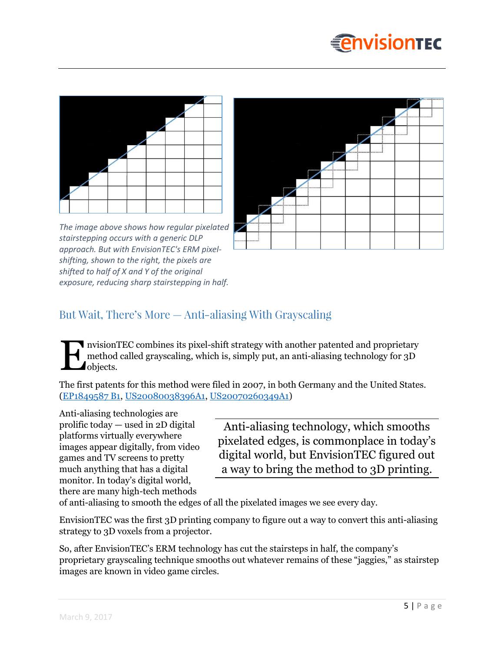





*The image above shows how regular pixelated stairstepping occurs with a generic DLP approach. But with EnvisionTEC's ERM pixelshifting, shown to the right, the pixels are shifted to half of X and Y of the original exposure, reducing sharp stairstepping in half.*

## But Wait, There's More — Anti-aliasing With Grayscaling

nvisionTEC combines its pixel-shift strategy with another patented and proprietary method called grayscaling, which is, simply put, an anti-aliasing technology for 3D *d*objects. E

The first patents for this method were filed in 2007, in both Germany and the United States. [\(EP1849587 B1,](https://www.google.com/patents/EP1849587B1?cl=enIt) [US20080038396A1,](https://patents.google.com/patent/US20080038396A1/en?q=envisiontec&q=gray) [US20070260349A1\)](https://patents.google.com/patent/US20070260349A1/en?q=envisiontec&q=gray)

Anti-aliasing technologies are prolific today — used in 2D digital platforms virtually everywhere images appear digitally, from video games and TV screens to pretty much anything that has a digital monitor. In today's digital world, there are many high-tech methods

Anti-aliasing technology, which smooths pixelated edges, is commonplace in today's digital world, but EnvisionTEC figured out a way to bring the method to 3D printing.

of anti-aliasing to smooth the edges of all the pixelated images we see every day.

EnvisionTEC was the first 3D printing company to figure out a way to convert this anti-aliasing strategy to 3D voxels from a projector.

So, after EnvisionTEC's ERM technology has cut the stairsteps in half, the company's proprietary grayscaling technique smooths out whatever remains of these "jaggies," as stairstep images are known in video game circles.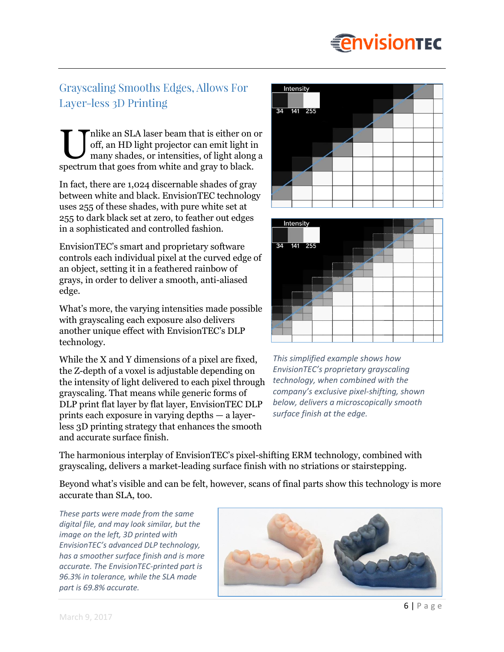# **EnvisionTEC**

## **Grayscaling Smooths Edges, Allows For** Layer-less 3D Printing

nlike an SLA laser beam that is either on or off, an HD light projector can emit light in many shades, or intensities, of light along a I possible an SLA laser beam that is either on out off, an HD light projector can emit light in many shades, or intensities, of light along spectrum that goes from white and gray to black.

In fact, there are 1,024 discernable shades of gray between white and black. EnvisionTEC technology uses 255 of these shades, with pure white set at 255 to dark black set at zero, to feather out edges in a sophisticated and controlled fashion.

EnvisionTEC's smart and proprietary software controls each individual pixel at the curved edge of an object, setting it in a feathered rainbow of grays, in order to deliver a smooth, anti-aliased edge.

What's more, the varying intensities made possible with grayscaling each exposure also delivers another unique effect with EnvisionTEC's DLP technology.

While the X and Y dimensions of a pixel are fixed, the Z-depth of a voxel is adjustable depending on the intensity of light delivered to each pixel through grayscaling. That means while generic forms of DLP print flat layer by flat layer, EnvisionTEC DLP prints each exposure in varying depths — a layerless 3D printing strategy that enhances the smooth and accurate surface finish.





*This simplified example shows how EnvisionTEC's proprietary grayscaling technology, when combined with the company's exclusive pixel-shifting, shown below, delivers a microscopically smooth surface finish at the edge.*

The harmonious interplay of EnvisionTEC's pixel-shifting ERM technology, combined with grayscaling, delivers a market-leading surface finish with no striations or stairstepping.

Beyond what's visible and can be felt, however, scans of final parts show this technology is more accurate than SLA, too.

*These parts were made from the same digital file, and may look similar, but the image on the left, 3D printed with EnvisionTEC's advanced DLP technology, has a smoother surface finish and is more accurate. The EnvisionTEC-printed part is 96.3% in tolerance, while the SLA made part is 69.8% accurate.*